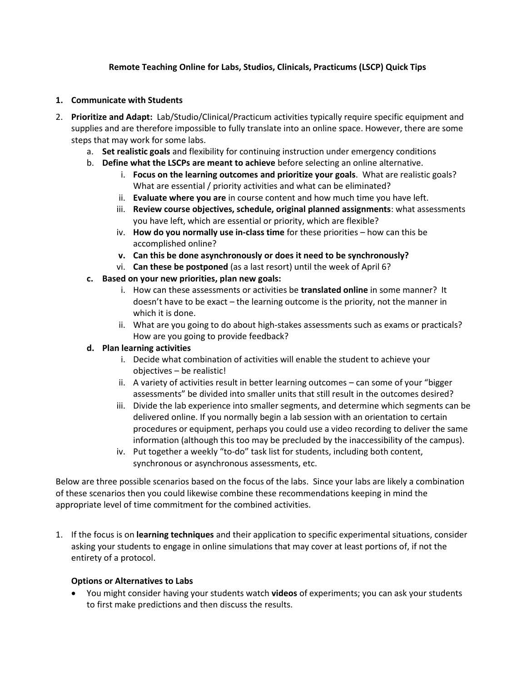# **Remote Teaching Online for Labs, Studios, Clinicals, Practicums (LSCP) Quick Tips**

### **1. Communicate with Students**

- 2. **Prioritize and Adapt:** Lab/Studio/Clinical/Practicum activities typically require specific equipment and supplies and are therefore impossible to fully translate into an online space. However, there are some steps that may work for some labs.
	- a. **Set realistic goals** and flexibility for continuing instruction under emergency conditions
	- b. **Define what the LSCPs are meant to achieve** before selecting an online alternative.
		- i. **Focus on the learning outcomes and prioritize your goals**. What are realistic goals? What are essential / priority activities and what can be eliminated?
		- ii. **Evaluate where you are** in course content and how much time you have left.
		- iii. **Review course objectives, schedule, original planned assignments**: what assessments you have left, which are essential or priority, which are flexible?
		- iv. **How do you normally use in-class time** for these priorities how can this be accomplished online?
		- **v. Can this be done asynchronously or does it need to be synchronously?**
		- vi. **Can these be postponed** (as a last resort) until the week of April 6?
	- **c. Based on your new priorities, plan new goals:**
		- i. How can these assessments or activities be **translated online** in some manner? It doesn't have to be exact – the learning outcome is the priority, not the manner in which it is done.
		- ii. What are you going to do about high-stakes assessments such as exams or practicals? How are you going to provide feedback?

### **d. Plan learning activities**

- i. Decide what combination of activities will enable the student to achieve your objectives – be realistic!
- ii. A variety of activities result in better learning outcomes can some of your "bigger assessments" be divided into smaller units that still result in the outcomes desired?
- iii. Divide the lab experience into smaller segments, and determine which segments can be delivered online. If you normally begin a lab session with an orientation to certain procedures or equipment, perhaps you could use a video recording to deliver the same information (although this too may be precluded by the inaccessibility of the campus).
- iv. Put together a weekly "to-do" task list for students, including both content, synchronous or asynchronous assessments, etc.

Below are three possible scenarios based on the focus of the labs. Since your labs are likely a combination of these scenarios then you could likewise combine these recommendations keeping in mind the appropriate level of time commitment for the combined activities.

1. If the focus is on **learning techniques** and their application to specific experimental situations, consider asking your students to engage in online simulations that may cover at least portions of, if not the entirety of a protocol.

### **Options or Alternatives to Labs**

• You might consider having your students watch **videos** of experiments; you can ask your students to first make predictions and then discuss the results.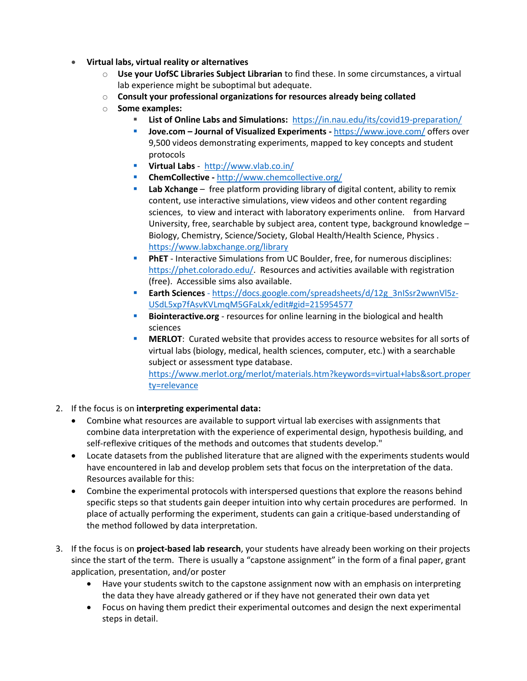- **Virtual labs, virtual reality or alternatives**
	- o **Use your UofSC Libraries Subject Librarian** to find these. In some circumstances, a virtual lab experience might be suboptimal but adequate.
	- o **Consult your professional organizations for resources already being collated**
	- o **Some examples:** 
		- **List of Online Labs and Simulations:** <https://in.nau.edu/its/covid19-preparation/>
		- **Jove.com – Journal of Visualized Experiments -** <https://www.jove.com/> offers over 9,500 videos demonstrating experiments, mapped to key concepts and student protocols
		- **Virtual Labs** -<http://www.vlab.co.in/>
		- **ChemCollective -** <http://www.chemcollective.org/>
		- **Lab Xchange** free platform providing library of digital content, ability to remix content, use interactive simulations, view videos and other content regarding sciences, to view and interact with laboratory experiments online. from Harvard University, free, searchable by subject area, content type, background knowledge – Biology, Chemistry, Science/Society, Global Health/Health Science, Physics . <https://www.labxchange.org/library>
		- **PhET** Interactive Simulations from UC Boulder, free, for numerous disciplines: [https://phet.colorado.edu/.](https://phet.colorado.edu/) Resources and activities available with registration (free). Accessible sims also available.
		- **Earth Sciences** [https://docs.google.com/spreadsheets/d/12g\\_3nISsr2wwnVl5z-](https://docs.google.com/spreadsheets/d/12g_3nISsr2wwnVl5z-USdL5xp7fAsvKVLmqM5GFaLxk/edit#gid=215954577)[USdL5xp7fAsvKVLmqM5GFaLxk/edit#gid=215954577](https://docs.google.com/spreadsheets/d/12g_3nISsr2wwnVl5z-USdL5xp7fAsvKVLmqM5GFaLxk/edit#gid=215954577)
		- **EXP** Biointeractive.org resources for online learning in the biological and health sciences
		- **MERLOT:** Curated website that provides access to resource websites for all sorts of virtual labs (biology, medical, health sciences, computer, etc.) with a searchable subject or assessment type database.

[https://www.merlot.org/merlot/materials.htm?keywords=virtual+labs&sort.proper](https://www.merlot.org/merlot/materials.htm?keywords=virtual+labs&sort.property=relevance) [ty=relevance](https://www.merlot.org/merlot/materials.htm?keywords=virtual+labs&sort.property=relevance)

- 2. If the focus is on **interpreting experimental data:**
	- Combine what resources are available to support virtual lab exercises with assignments that combine data interpretation with the experience of experimental design, hypothesis building, and self-reflexive critiques of the methods and outcomes that students develop."
	- Locate datasets from the published literature that are aligned with the experiments students would have encountered in lab and develop problem sets that focus on the interpretation of the data. Resources available for this:
	- Combine the experimental protocols with interspersed questions that explore the reasons behind specific steps so that students gain deeper intuition into why certain procedures are performed. In place of actually performing the experiment, students can gain a critique-based understanding of the method followed by data interpretation.
- 3. If the focus is on **project-based lab research**, your students have already been working on their projects since the start of the term. There is usually a "capstone assignment" in the form of a final paper, grant application, presentation, and/or poster
	- Have your students switch to the capstone assignment now with an emphasis on interpreting the data they have already gathered or if they have not generated their own data yet
	- Focus on having them predict their experimental outcomes and design the next experimental steps in detail.